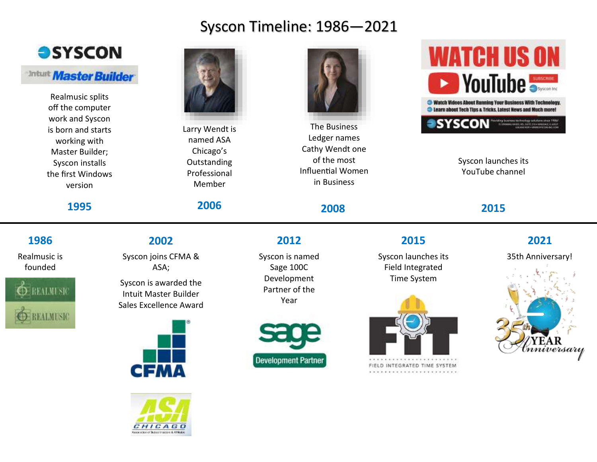# Syscon Timeline: 1986—2021



### **Intuit Master Builder**

Realmusic splits off the computer work and Syscon is born and starts working with Master Builder; Syscon installs the first Windows version

### **1995**

### **1986**

Realmusic is founded



# **2002**

Syscon joins CFMA & ASA;

Syscon is awarded the Intuit Master Builder Sales Excellence Award







Larry Wendt is named ASA Chicago's **Outstanding** Professional Member

## **2006**



The Business Ledger names Cathy Wendt one of the most Influential Women in Business

**2008**

**2012**

Syscon is named Sage 100C Development Partner of the Year



# **WATCH US ON DE VouTube** Watch Videos About Running Your Business With Technology **C** Learn about Tech Tips a Tricks, Latest News and Much more **SYSCON**

Syscon launches its YouTube channel

## **2015**



Syscon launches its Field Integrated Time System



FIELD INTEGRATED TIME SYSTEM

# **2021**